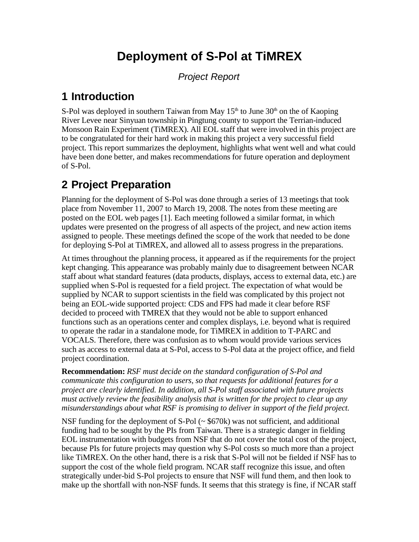# **Deployment of S-Pol at TiMREX**

*Project Report*

### **1 Introduction**

S-Pol was deployed in southern Taiwan from May  $15<sup>th</sup>$  to June  $30<sup>th</sup>$  on the of Kaoping River Levee near Sinyuan township in Pingtung county to support the Terrian-induced Monsoon Rain Experiment (TiMREX). All EOL staff that were involved in this project are to be congratulated for their hard work in making this project a very successful field project. This report summarizes the deployment, highlights what went well and what could have been done better, and makes recommendations for future operation and deployment of S-Pol.

## **2 Project Preparation**

Planning for the deployment of S-Pol was done through a series of 13 meetings that took place from November 11, 2007 to March 19, 2008. The notes from these meeting are posted on the EOL web pages [1]. Each meeting followed a similar format, in which updates were presented on the progress of all aspects of the project, and new action items assigned to people. These meetings defined the scope of the work that needed to be done for deploying S-Pol at TiMREX, and allowed all to assess progress in the preparations.

At times throughout the planning process, it appeared as if the requirements for the project kept changing. This appearance was probably mainly due to disagreement between NCAR staff about what standard features (data products, displays, access to external data, etc.) are supplied when S-Pol is requested for a field project. The expectation of what would be supplied by NCAR to support scientists in the field was complicated by this project not being an EOL-wide supported project: CDS and FPS had made it clear before RSF decided to proceed with TMREX that they would not be able to support enhanced functions such as an operations center and complex displays, i.e. beyond what is required to operate the radar in a standalone mode, for TiMREX in addition to T-PARC and VOCALS. Therefore, there was confusion as to whom would provide various services such as access to external data at S-Pol, access to S-Pol data at the project office, and field project coordination.

**Recommendation:** *RSF must decide on the standard configuration of S-Pol and communicate this configuration to users, so that requests for additional features for a project are clearly identified. In addition, all S-Pol staff associated with future projects must actively review the feasibility analysis that is written for the project to clear up any misunderstandings about what RSF is promising to deliver in support of the field project.*

NSF funding for the deployment of S-Pol  $( \sim $670 \text{k})$  was not sufficient, and additional funding had to be sought by the PIs from Taiwan. There is a strategic danger in fielding EOL instrumentation with budgets from NSF that do not cover the total cost of the project, because PIs for future projects may question why S-Pol costs so much more than a project like TiMREX. On the other hand, there is a risk that S-Pol will not be fielded if NSF has to support the cost of the whole field program. NCAR staff recognize this issue, and often strategically under-bid S-Pol projects to ensure that NSF will fund them, and then look to make up the shortfall with non-NSF funds. It seems that this strategy is fine, if NCAR staff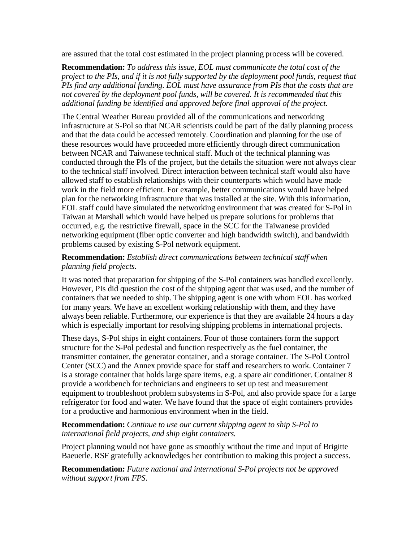are assured that the total cost estimated in the project planning process will be covered.

**Recommendation:** *To address this issue, EOL must communicate the total cost of the project to the PIs, and if it is not fully supported by the deployment pool funds, request that PIs find any additional funding. EOL must have assurance from PIs that the costs that are not covered by the deployment pool funds, will be covered. It is recommended that this additional funding be identified and approved before final approval of the project.*

The Central Weather Bureau provided all of the communications and networking infrastructure at S-Pol so that NCAR scientists could be part of the daily planning process and that the data could be accessed remotely. Coordination and planning for the use of these resources would have proceeded more efficiently through direct communication between NCAR and Taiwanese technical staff. Much of the technical planning was conducted through the PIs of the project, but the details the situation were not always clear to the technical staff involved. Direct interaction between technical staff would also have allowed staff to establish relationships with their counterparts which would have made work in the field more efficient. For example, better communications would have helped plan for the networking infrastructure that was installed at the site. With this information, EOL staff could have simulated the networking environment that was created for S-Pol in Taiwan at Marshall which would have helped us prepare solutions for problems that occurred, e.g. the restrictive firewall, space in the SCC for the Taiwanese provided networking equipment (fiber optic converter and high bandwidth switch), and bandwidth problems caused by existing S-Pol network equipment.

#### **Recommendation:** *Establish direct communications between technical staff when planning field projects.*

It was noted that preparation for shipping of the S-Pol containers was handled excellently. However, PIs did question the cost of the shipping agent that was used, and the number of containers that we needed to ship. The shipping agent is one with whom EOL has worked for many years. We have an excellent working relationship with them, and they have always been reliable. Furthermore, our experience is that they are available 24 hours a day which is especially important for resolving shipping problems in international projects.

These days, S-Pol ships in eight containers. Four of those containers form the support structure for the S-Pol pedestal and function respectively as the fuel container, the transmitter container, the generator container, and a storage container. The S-Pol Control Center (SCC) and the Annex provide space for staff and researchers to work. Container 7 is a storage container that holds large spare items, e.g. a spare air conditioner. Container 8 provide a workbench for technicians and engineers to set up test and measurement equipment to troubleshoot problem subsystems in S-Pol, and also provide space for a large refrigerator for food and water. We have found that the space of eight containers provides for a productive and harmonious environment when in the field.

**Recommendation:** *Continue to use our current shipping agent to ship S-Pol to international field projects, and ship eight containers.*

Project planning would not have gone as smoothly without the time and input of Brigitte Baeuerle. RSF gratefully acknowledges her contribution to making this project a success.

**Recommendation:** *Future national and international S-Pol projects not be approved without support from FPS.*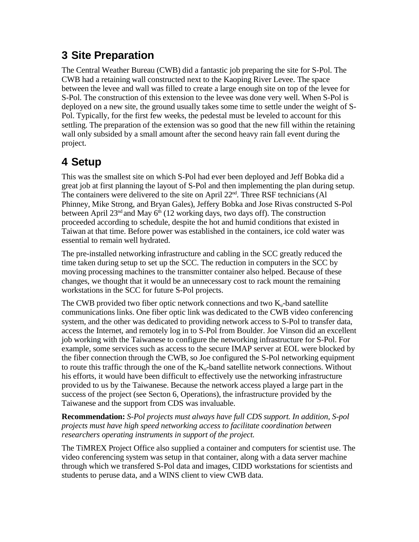### **3 Site Preparation**

The Central Weather Bureau (CWB) did a fantastic job preparing the site for S-Pol. The CWB had a retaining wall constructed next to the Kaoping River Levee. The space between the levee and wall was filled to create a large enough site on top of the levee for S-Pol. The construction of this extension to the levee was done very well. When S-Pol is deployed on a new site, the ground usually takes some time to settle under the weight of S-Pol. Typically, for the first few weeks, the pedestal must be leveled to account for this settling. The preparation of the extension was so good that the new fill within the retaining wall only subsided by a small amount after the second heavy rain fall event during the project.

## **4 Setup**

This was the smallest site on which S-Pol had ever been deployed and Jeff Bobka did a great job at first planning the layout of S-Pol and then implementing the plan during setup. The containers were delivered to the site on April 22<sup>nd</sup>. Three RSF technicians (Al Phinney, Mike Strong, and Bryan Gales), Jeffery Bobka and Jose Rivas constructed S-Pol between April 23<sup>nd</sup> and May  $6<sup>th</sup>$  (12 working days, two days off). The construction proceeded according to schedule, despite the hot and humid conditions that existed in Taiwan at that time. Before power was established in the containers, ice cold water was essential to remain well hydrated.

The pre-installed networking infrastructure and cabling in the SCC greatly reduced the time taken during setup to set up the SCC. The reduction in computers in the SCC by moving processing machines to the transmitter container also helped. Because of these changes, we thought that it would be an unnecessary cost to rack mount the remaining workstations in the SCC for future S-Pol projects.

The CWB provided two fiber optic network connections and two  $K_u$ -band satellite communications links. One fiber optic link was dedicated to the CWB video conferencing system, and the other was dedicated to providing network access to S-Pol to transfer data, access the Internet, and remotely log in to S-Pol from Boulder. Joe Vinson did an excellent job working with the Taiwanese to configure the networking infrastructure for S-Pol. For example, some services such as access to the secure IMAP server at EOL were blocked by the fiber connection through the CWB, so Joe configured the S-Pol networking equipment to route this traffic through the one of the  $K_u$ -band satellite network connections. Without his efforts, it would have been difficult to effectively use the networking infrastructure provided to us by the Taiwanese. Because the network access played a large part in the success of the project (see Secton 6, Operations), the infrastructure provided by the Taiwanese and the support from CDS was invaluable.

**Recommendation:** *S-Pol projects must always have full CDS support. In addition, S-pol projects must have high speed networking access to facilitate coordination between researchers operating instruments in support of the project.*

The TiMREX Project Office also supplied a container and computers for scientist use. The video conferencing system was setup in that container, along with a data server machine through which we transfered S-Pol data and images, CIDD workstations for scientists and students to peruse data, and a WINS client to view CWB data.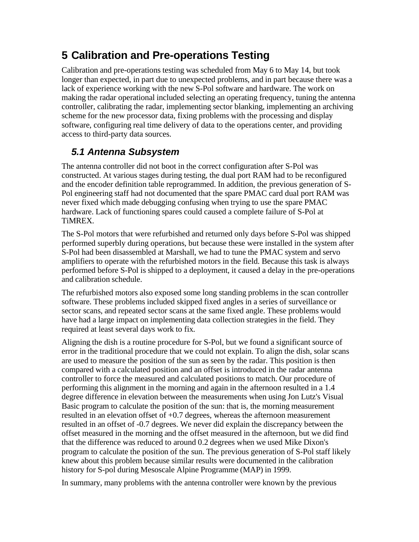### **5 Calibration and Pre-operations Testing**

Calibration and pre-operations testing was scheduled from May 6 to May 14, but took longer than expected, in part due to unexpected problems, and in part because there was a lack of experience working with the new S-Pol software and hardware. The work on making the radar operational included selecting an operating frequency, tuning the antenna controller, calibrating the radar, implementing sector blanking, implementing an archiving scheme for the new processor data, fixing problems with the processing and display software, configuring real time delivery of data to the operations center, and providing access to third-party data sources.

#### *5.1 Antenna Subsystem*

The antenna controller did not boot in the correct configuration after S-Pol was constructed. At various stages during testing, the dual port RAM had to be reconfigured and the encoder definition table reprogrammed. In addition, the previous generation of S-Pol engineering staff had not documented that the spare PMAC card dual port RAM was never fixed which made debugging confusing when trying to use the spare PMAC hardware. Lack of functioning spares could caused a complete failure of S-Pol at TiMREX.

The S-Pol motors that were refurbished and returned only days before S-Pol was shipped performed superbly during operations, but because these were installed in the system after S-Pol had been disassembled at Marshall, we had to tune the PMAC system and servo amplifiers to operate with the refurbished motors in the field. Because this task is always performed before S-Pol is shipped to a deployment, it caused a delay in the pre-operations and calibration schedule.

The refurbished motors also exposed some long standing problems in the scan controller software. These problems included skipped fixed angles in a series of surveillance or sector scans, and repeated sector scans at the same fixed angle. These problems would have had a large impact on implementing data collection strategies in the field. They required at least several days work to fix.

Aligning the dish is a routine procedure for S-Pol, but we found a significant source of error in the traditional procedure that we could not explain. To align the dish, solar scans are used to measure the position of the sun as seen by the radar. This position is then compared with a calculated position and an offset is introduced in the radar antenna controller to force the measured and calculated positions to match. Our procedure of performing this alignment in the morning and again in the afternoon resulted in a 1.4 degree difference in elevation between the measurements when using Jon Lutz's Visual Basic program to calculate the position of the sun: that is, the morning measurement resulted in an elevation offset of  $+0.7$  degrees, whereas the afternoon measurement resulted in an offset of -0.7 degrees. We never did explain the discrepancy between the offset measured in the morning and the offset measured in the afternoon, but we did find that the difference was reduced to around 0.2 degrees when we used Mike Dixon's program to calculate the position of the sun. The previous generation of S-Pol staff likely knew about this problem because similar results were documented in the calibration history for S-pol during Mesoscale Alpine Programme (MAP) in 1999.

In summary, many problems with the antenna controller were known by the previous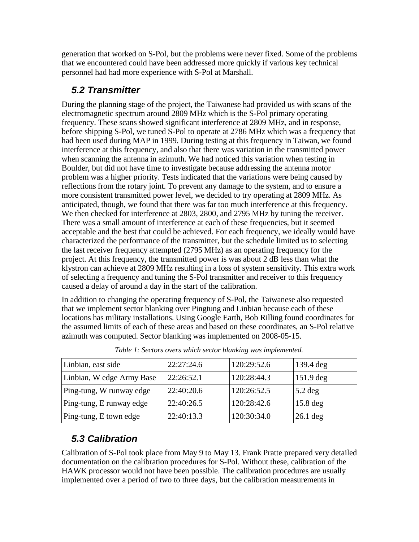generation that worked on S-Pol, but the problems were never fixed. Some of the problems that we encountered could have been addressed more quickly if various key technical personnel had had more experience with S-Pol at Marshall.

#### *5.2 Transmitter*

During the planning stage of the project, the Taiwanese had provided us with scans of the electromagnetic spectrum around 2809 MHz which is the S-Pol primary operating frequency. These scans showed significant interference at 2809 MHz, and in response, before shipping S-Pol, we tuned S-Pol to operate at 2786 MHz which was a frequency that had been used during MAP in 1999. During testing at this frequency in Taiwan, we found interference at this frequency, and also that there was variation in the transmitted power when scanning the antenna in azimuth. We had noticed this variation when testing in Boulder, but did not have time to investigate because addressing the antenna motor problem was a higher priority. Tests indicated that the variations were being caused by reflections from the rotary joint. To prevent any damage to the system, and to ensure a more consistent transmitted power level, we decided to try operating at 2809 MHz. As anticipated, though, we found that there was far too much interference at this frequency. We then checked for interference at 2803, 2800, and 2795 MHz by tuning the receiver. There was a small amount of interference at each of these frequencies, but it seemed acceptable and the best that could be achieved. For each frequency, we ideally would have characterized the performance of the transmitter, but the schedule limited us to selecting the last receiver frequency attempted (2795 MHz) as an operating frequency for the project. At this frequency, the transmitted power is was about 2 dB less than what the klystron can achieve at 2809 MHz resulting in a loss of system sensitivity. This extra work of selecting a frequency and tuning the S-Pol transmitter and receiver to this frequency caused a delay of around a day in the start of the calibration.

In addition to changing the operating frequency of S-Pol, the Taiwanese also requested that we implement sector blanking over Pingtung and Linbian because each of these locations has military installations. Using Google Earth, Bob Rilling found coordinates for the assumed limits of each of these areas and based on these coordinates, an S-Pol relative azimuth was computed. Sector blanking was implemented on 2008-05-15.

| Linbian, east side        | 22:27:24.6 | 120:29:52.6 | $\vert$ 139.4 deg |
|---------------------------|------------|-------------|-------------------|
| Linbian, W edge Army Base | 22:26:52.1 | 120:28:44.3 | $\vert$ 151.9 deg |
| Ping-tung, W runway edge  | 22:40:20.6 | 120:26:52.5 | $5.2$ deg         |
| Ping-tung, E runway edge  | 22:40:26.5 | 120:28:42.6 | $15.8$ deg        |
| Ping-tung, E town edge    | 22:40:13.3 | 120:30:34.0 | $26.1$ deg        |

*Table 1: Sectors overs which sector blanking was implemented.*

#### *5.3 Calibration*

Calibration of S-Pol took place from May 9 to May 13. Frank Pratte prepared very detailed documentation on the calibration procedures for S-Pol. Without these, calibration of the HAWK processor would not have been possible. The calibration procedures are usually implemented over a period of two to three days, but the calibration measurements in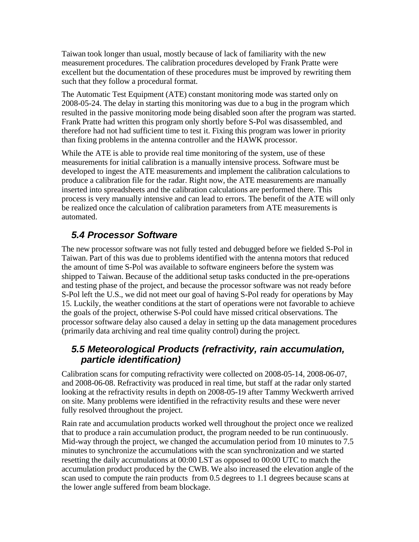Taiwan took longer than usual, mostly because of lack of familiarity with the new measurement procedures. The calibration procedures developed by Frank Pratte were excellent but the documentation of these procedures must be improved by rewriting them such that they follow a procedural format.

The Automatic Test Equipment (ATE) constant monitoring mode was started only on 2008-05-24. The delay in starting this monitoring was due to a bug in the program which resulted in the passive monitoring mode being disabled soon after the program was started. Frank Pratte had written this program only shortly before S-Pol was disassembled, and therefore had not had sufficient time to test it. Fixing this program was lower in priority than fixing problems in the antenna controller and the HAWK processor.

While the ATE is able to provide real time monitoring of the system, use of these measurements for initial calibration is a manually intensive process. Software must be developed to ingest the ATE measurements and implement the calibration calculations to produce a calibration file for the radar. Right now, the ATE measurements are manually inserted into spreadsheets and the calibration calculations are performed there. This process is very manually intensive and can lead to errors. The benefit of the ATE will only be realized once the calculation of calibration parameters from ATE measurements is automated.

#### *5.4 Processor Software*

The new processor software was not fully tested and debugged before we fielded S-Pol in Taiwan. Part of this was due to problems identified with the antenna motors that reduced the amount of time S-Pol was available to software engineers before the system was shipped to Taiwan. Because of the additional setup tasks conducted in the pre-operations and testing phase of the project, and because the processor software was not ready before S-Pol left the U.S., we did not meet our goal of having S-Pol ready for operations by May 15. Luckily, the weather conditions at the start of operations were not favorable to achieve the goals of the project, otherwise S-Pol could have missed critical observations. The processor software delay also caused a delay in setting up the data management procedures (primarily data archiving and real time quality control) during the project.

#### *5.5 Meteorological Products (refractivity, rain accumulation, particle identification)*

Calibration scans for computing refractivity were collected on 2008-05-14, 2008-06-07, and 2008-06-08. Refractivity was produced in real time, but staff at the radar only started looking at the refractivity results in depth on 2008-05-19 after Tammy Weckwerth arrived on site. Many problems were identified in the refractivity results and these were never fully resolved throughout the project.

Rain rate and accumulation products worked well throughout the project once we realized that to produce a rain accumulation product, the program needed to be run continuously. Mid-way through the project, we changed the accumulation period from 10 minutes to 7.5 minutes to synchronize the accumulations with the scan synchronization and we started resetting the daily accumulations at 00:00 LST as opposed to 00:00 UTC to match the accumulation product produced by the CWB. We also increased the elevation angle of the scan used to compute the rain products from 0.5 degrees to 1.1 degrees because scans at the lower angle suffered from beam blockage.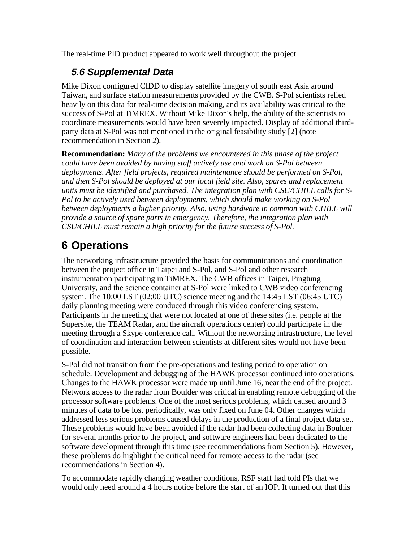The real-time PID product appeared to work well throughout the project.

### *5.6 Supplemental Data*

Mike Dixon configured CIDD to display satellite imagery of south east Asia around Taiwan, and surface station measurements provided by the CWB. S-Pol scientists relied heavily on this data for real-time decision making, and its availability was critical to the success of S-Pol at TiMREX. Without Mike Dixon's help, the ability of the scientists to coordinate measurements would have been severely impacted. Display of additional thirdparty data at S-Pol was not mentioned in the original feasibility study [2] (note recommendation in Section 2).

**Recommendation:** *Many of the problems we encountered in this phase of the project could have been avoided by having staff actively use and work on S-Pol between deployments. After field projects, required maintenance should be performed on S-Pol, and then S-Pol should be deployed at our local field site. Also, spares and replacement units must be identified and purchased. The integration plan with CSU/CHILL calls for S-Pol to be actively used between deployments, which should make working on S-Pol between deployments a higher priority. Also, using hardware in common with CHILL will provide a source of spare parts in emergency. Therefore, the integration plan with CSU/CHILL must remain a high priority for the future success of S-Pol.*

# **6 Operations**

The networking infrastructure provided the basis for communications and coordination between the project office in Taipei and S-Pol, and S-Pol and other research instrumentation participating in TiMREX. The CWB offices in Taipei, Pingtung University, and the science container at S-Pol were linked to CWB video conferencing system. The 10:00 LST (02:00 UTC) science meeting and the 14:45 LST (06:45 UTC) daily planning meeting were conduced through this video conferencing system. Participants in the meeting that were not located at one of these sites (i.e. people at the Supersite, the TEAM Radar, and the aircraft operations center) could participate in the meeting through a Skype conference call. Without the networking infrastructure, the level of coordination and interaction between scientists at different sites would not have been possible.

S-Pol did not transition from the pre-operations and testing period to operation on schedule. Development and debugging of the HAWK processor continued into operations. Changes to the HAWK processor were made up until June 16, near the end of the project. Network access to the radar from Boulder was critical in enabling remote debugging of the processor software problems. One of the most serious problems, which caused around 3 minutes of data to be lost periodically, was only fixed on June 04. Other changes which addressed less serious problems caused delays in the production of a final project data set. These problems would have been avoided if the radar had been collecting data in Boulder for several months prior to the project, and software engineers had been dedicated to the software development through this time (see recommendations from Section 5). However, these problems do highlight the critical need for remote access to the radar (see recommendations in Section 4).

To accommodate rapidly changing weather conditions, RSF staff had told PIs that we would only need around a 4 hours notice before the start of an IOP. It turned out that this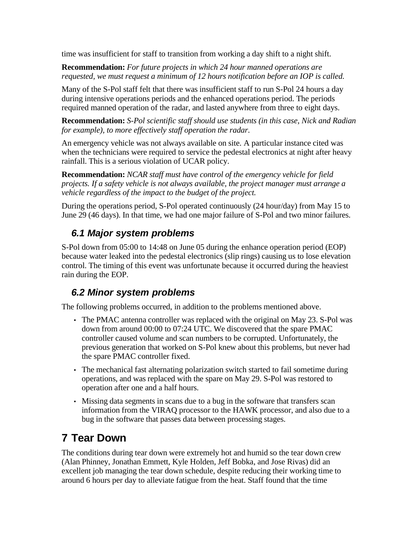time was insufficient for staff to transition from working a day shift to a night shift.

**Recommendation:** *For future projects in which 24 hour manned operations are requested, we must request a minimum of 12 hours notification before an IOP is called.*

Many of the S-Pol staff felt that there was insufficient staff to run S-Pol 24 hours a day during intensive operations periods and the enhanced operations period. The periods required manned operation of the radar, and lasted anywhere from three to eight days.

**Recommendation:** *S-Pol scientific staff should use students (in this case, Nick and Radian for example), to more effectively staff operation the radar.*

An emergency vehicle was not always available on site. A particular instance cited was when the technicians were required to service the pedestal electronics at night after heavy rainfall. This is a serious violation of UCAR policy.

**Recommendation:** *NCAR staff must have control of the emergency vehicle for field projects. If a safety vehicle is not always available, the project manager must arrange a vehicle regardless of the impact to the budget of the project.*

During the operations period, S-Pol operated continuously (24 hour/day) from May 15 to June 29 (46 days). In that time, we had one major failure of S-Pol and two minor failures.

#### *6.1 Major system problems*

S-Pol down from 05:00 to 14:48 on June 05 during the enhance operation period (EOP) because water leaked into the pedestal electronics (slip rings) causing us to lose elevation control. The timing of this event was unfortunate because it occurred during the heaviest rain during the EOP.

#### *6.2 Minor system problems*

The following problems occurred, in addition to the problems mentioned above.

- The PMAC antenna controller was replaced with the original on May 23. S-Pol was down from around 00:00 to 07:24 UTC. We discovered that the spare PMAC controller caused volume and scan numbers to be corrupted. Unfortunately, the previous generation that worked on S-Pol knew about this problems, but never had the spare PMAC controller fixed.
- The mechanical fast alternating polarization switch started to fail sometime during operations, and was replaced with the spare on May 29. S-Pol was restored to operation after one and a half hours.
- Missing data segments in scans due to a bug in the software that transfers scan information from the VIRAQ processor to the HAWK processor, and also due to a bug in the software that passes data between processing stages.

### **7 Tear Down**

The conditions during tear down were extremely hot and humid so the tear down crew (Alan Phinney, Jonathan Emmett, Kyle Holden, Jeff Bobka, and Jose Rivas) did an excellent job managing the tear down schedule, despite reducing their working time to around 6 hours per day to alleviate fatigue from the heat. Staff found that the time